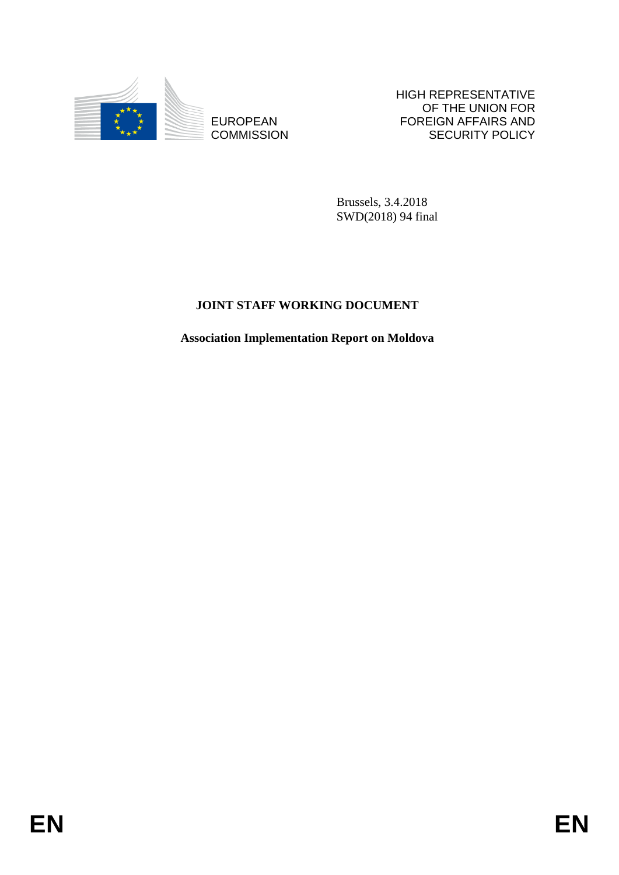

**COMMISSION** 

HIGH REPRESENTATIVE OF THE UNION FOR FOREIGN AFFAIRS AND SECURITY POLICY

Brussels, 3.4.2018 SWD(2018) 94 final

# **JOINT STAFF WORKING DOCUMENT**

EUROPEAN FOREIGN FRANS AND FOREIGN AFFAIRS AND COMMISSION<br>
EQUATION COMMISSION<br>
BRISKS, 3,4,2018<br>
SWINZINS; 94 IGN<br>
JOLYT STAFF WORKING DOCUMENT<br>
Association Implementation Report on Moldora<br> **EN Association Implementation Report on Moldova**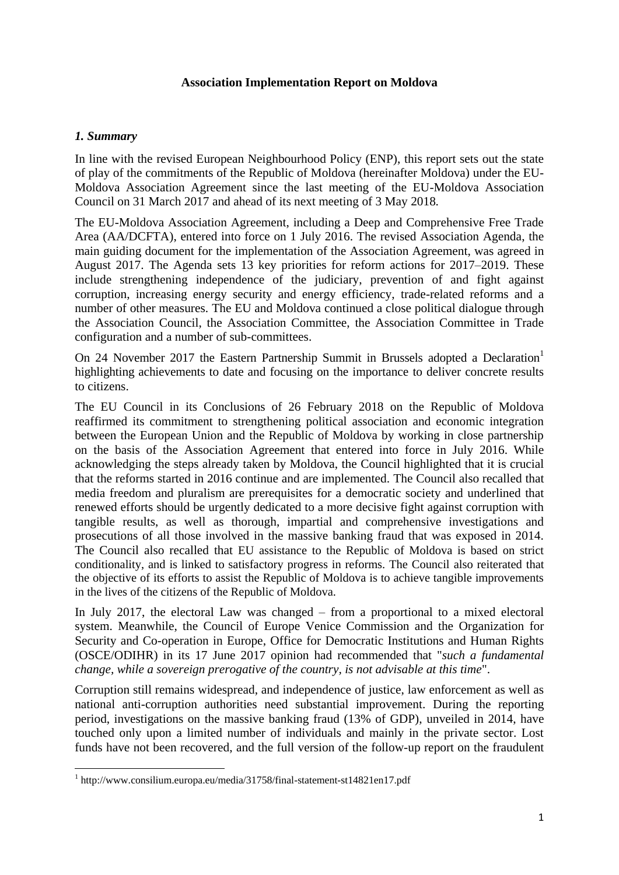#### **Association Implementation Report on Moldova**

#### *1. Summary*

**.** 

In line with the revised European Neighbourhood Policy (ENP), this report sets out the state of play of the commitments of the Republic of Moldova (hereinafter Moldova) under the EU-Moldova Association Agreement since the last meeting of the EU-Moldova Association Council on 31 March 2017 and ahead of its next meeting of 3 May 2018*.*

The EU-Moldova Association Agreement, including a Deep and Comprehensive Free Trade Area (AA/DCFTA), entered into force on 1 July 2016. The revised Association Agenda, the main guiding document for the implementation of the Association Agreement, was agreed in August 2017. The Agenda sets 13 key priorities for reform actions for 2017–2019. These include strengthening independence of the judiciary, prevention of and fight against corruption, increasing energy security and energy efficiency, trade-related reforms and a number of other measures. The EU and Moldova continued a close political dialogue through the Association Council, the Association Committee, the Association Committee in Trade configuration and a number of sub-committees.

On 24 November 2017 the Eastern Partnership Summit in Brussels adopted a Declaration<sup>1</sup> highlighting achievements to date and focusing on the importance to deliver concrete results to citizens.

The EU Council in its Conclusions of 26 February 2018 on the Republic of Moldova reaffirmed its commitment to strengthening political association and economic integration between the European Union and the Republic of Moldova by working in close partnership on the basis of the Association Agreement that entered into force in July 2016. While acknowledging the steps already taken by Moldova, the Council highlighted that it is crucial that the reforms started in 2016 continue and are implemented. The Council also recalled that media freedom and pluralism are prerequisites for a democratic society and underlined that renewed efforts should be urgently dedicated to a more decisive fight against corruption with tangible results, as well as thorough, impartial and comprehensive investigations and prosecutions of all those involved in the massive banking fraud that was exposed in 2014. The Council also recalled that EU assistance to the Republic of Moldova is based on strict conditionality, and is linked to satisfactory progress in reforms. The Council also reiterated that the objective of its efforts to assist the Republic of Moldova is to achieve tangible improvements in the lives of the citizens of the Republic of Moldova.

In July 2017, the electoral Law was changed – from a proportional to a mixed electoral system. Meanwhile, the Council of Europe Venice Commission and the Organization for Security and Co-operation in Europe, Office for Democratic Institutions and Human Rights (OSCE/ODIHR) in its 17 June 2017 opinion had recommended that "*such a fundamental change, while a sovereign prerogative of the country, is not advisable at this time*".

Corruption still remains widespread, and independence of justice, law enforcement as well as national anti-corruption authorities need substantial improvement. During the reporting period, investigations on the massive banking fraud (13% of GDP), unveiled in 2014, have touched only upon a limited number of individuals and mainly in the private sector. Lost funds have not been recovered, and the full version of the follow-up report on the fraudulent

<sup>&</sup>lt;sup>1</sup> http://www.consilium.europa.eu/media/31758/final-statement-st14821en17.pdf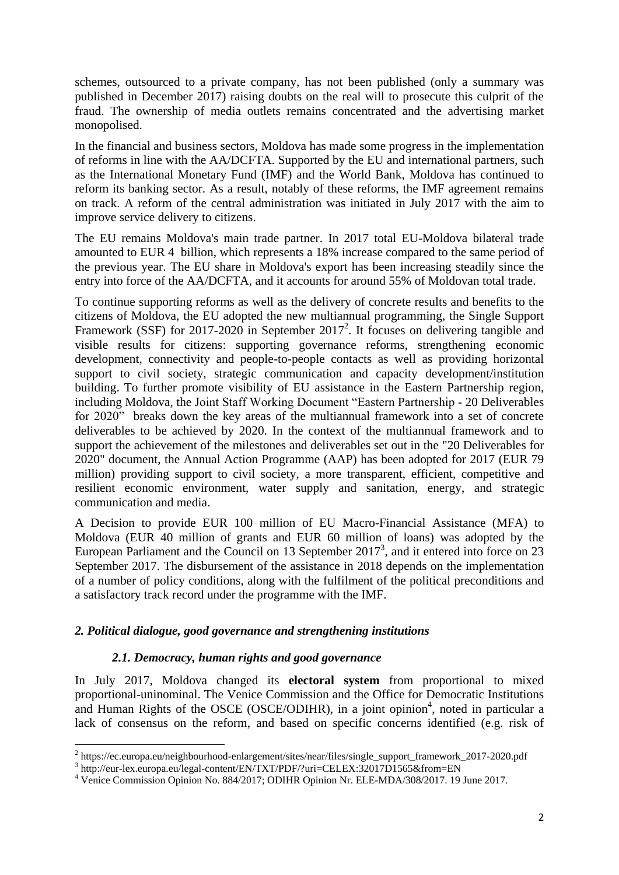schemes, outsourced to a private company, has not been published (only a summary was published in December 2017) raising doubts on the real will to prosecute this culprit of the fraud. The ownership of media outlets remains concentrated and the advertising market monopolised.

In the financial and business sectors, Moldova has made some progress in the implementation of reforms in line with the AA/DCFTA. Supported by the EU and international partners, such as the International Monetary Fund (IMF) and the World Bank, Moldova has continued to reform its banking sector. As a result, notably of these reforms, the IMF agreement remains on track. A reform of the central administration was initiated in July 2017 with the aim to improve service delivery to citizens.

The EU remains Moldova's main trade partner. In 2017 total EU-Moldova bilateral trade amounted to EUR 4 billion, which represents a 18% increase compared to the same period of the previous year. The EU share in Moldova's export has been increasing steadily since the entry into force of the AA/DCFTA, and it accounts for around 55% of Moldovan total trade.

To continue supporting reforms as well as the delivery of concrete results and benefits to the citizens of Moldova, the EU adopted the new multiannual programming, the Single Support Framework (SSF) for 2017-2020 in September 2017<sup>2</sup>. It focuses on delivering tangible and visible results for citizens: supporting governance reforms, strengthening economic development, connectivity and people-to-people contacts as well as providing horizontal support to civil society, strategic communication and capacity development/institution building. To further promote visibility of EU assistance in the Eastern Partnership region, including Moldova, the Joint Staff Working Document "Eastern Partnership - 20 Deliverables for 2020" breaks down the key areas of the multiannual framework into a set of concrete deliverables to be achieved by 2020. In the context of the multiannual framework and to support the achievement of the milestones and deliverables set out in the "20 Deliverables for 2020" document, the Annual Action Programme (AAP) has been adopted for 2017 (EUR 79 million) providing support to civil society, a more transparent, efficient, competitive and resilient economic environment, water supply and sanitation, energy, and strategic communication and media.

A Decision to provide EUR 100 million of EU Macro-Financial Assistance (MFA) to Moldova (EUR 40 million of grants and EUR 60 million of loans) was adopted by the European Parliament and the Council on 13 September  $2017<sup>3</sup>$ , and it entered into force on 23 September 2017. The disbursement of the assistance in 2018 depends on the implementation of a number of policy conditions, along with the fulfilment of the political preconditions and a satisfactory track record under the programme with the IMF.

# *2. Political dialogue, good governance and strengthening institutions*

# *2.1. Democracy, human rights and good governance*

In July 2017, Moldova changed its **electoral system** from proportional to mixed proportional-uninominal. The Venice Commission and the Office for Democratic Institutions and Human Rights of the OSCE (OSCE/ODIHR), in a joint opinion<sup>4</sup>, noted in particular a lack of consensus on the reform, and based on specific concerns identified (e.g. risk of

 2 https://ec.europa.eu/neighbourhood-enlargement/sites/near/files/single\_support\_framework\_2017-2020.pdf

<sup>&</sup>lt;sup>3</sup> http://eur-lex.europa.eu/legal-content/EN/TXT/PDF/?uri=CELEX:32017D1565&from=EN

<sup>4</sup> Venice Commission Opinion No. 884/2017; ODIHR Opinion Nr. ELE-MDA/308/2017. 19 June 2017.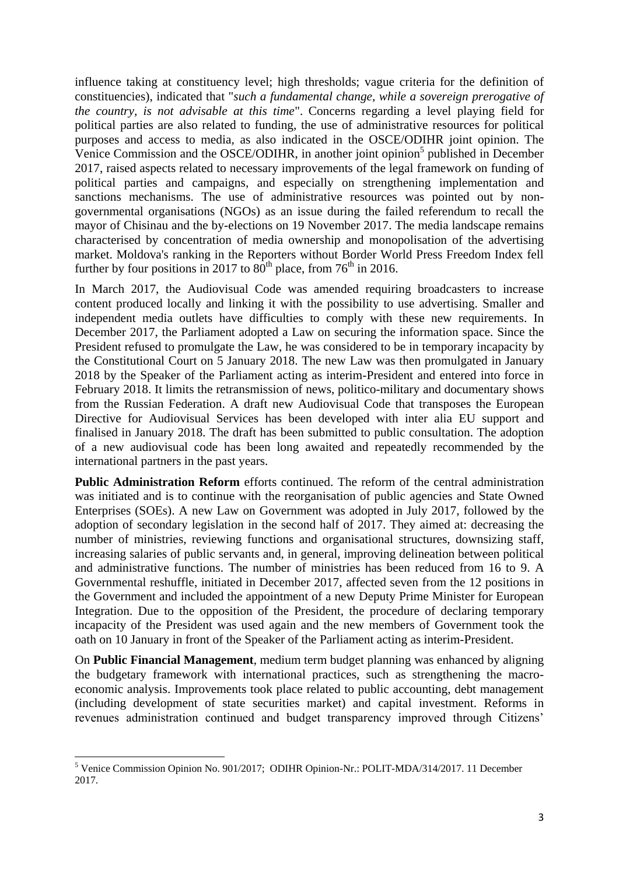influence taking at constituency level; high thresholds; vague criteria for the definition of constituencies), indicated that "*such a fundamental change, while a sovereign prerogative of the country, is not advisable at this time*". Concerns regarding a level playing field for political parties are also related to funding, the use of administrative resources for political purposes and access to media, as also indicated in the OSCE/ODIHR joint opinion. The Venice Commission and the OSCE/ODIHR, in another joint opinion<sup>5</sup> published in December 2017, raised aspects related to necessary improvements of the legal framework on funding of political parties and campaigns, and especially on strengthening implementation and sanctions mechanisms. The use of administrative resources was pointed out by nongovernmental organisations (NGOs) as an issue during the failed referendum to recall the mayor of Chisinau and the by-elections on 19 November 2017. The media landscape remains characterised by concentration of media ownership and monopolisation of the advertising market. Moldova's ranking in the Reporters without Border World Press Freedom Index fell further by four positions in 2017 to  $80^{\text{th}}$  place, from 76<sup>th</sup> in 2016.

In March 2017, the Audiovisual Code was amended requiring broadcasters to increase content produced locally and linking it with the possibility to use advertising. Smaller and independent media outlets have difficulties to comply with these new requirements. In December 2017, the Parliament adopted a Law on securing the information space. Since the President refused to promulgate the Law, he was considered to be in temporary incapacity by the Constitutional Court on 5 January 2018. The new Law was then promulgated in January 2018 by the Speaker of the Parliament acting as interim-President and entered into force in February 2018. It limits the retransmission of news, politico-military and documentary shows from the Russian Federation. A draft new Audiovisual Code that transposes the European Directive for Audiovisual Services has been developed with inter alia EU support and finalised in January 2018. The draft has been submitted to public consultation. The adoption of a new audiovisual code has been long awaited and repeatedly recommended by the international partners in the past years.

**Public Administration Reform** efforts continued. The reform of the central administration was initiated and is to continue with the reorganisation of public agencies and State Owned Enterprises (SOEs). A new Law on Government was adopted in July 2017, followed by the adoption of secondary legislation in the second half of 2017. They aimed at: decreasing the number of ministries, reviewing functions and organisational structures, downsizing staff, increasing salaries of public servants and, in general, improving delineation between political and administrative functions. The number of ministries has been reduced from 16 to 9. A Governmental reshuffle, initiated in December 2017, affected seven from the 12 positions in the Government and included the appointment of a new Deputy Prime Minister for European Integration. Due to the opposition of the President, the procedure of declaring temporary incapacity of the President was used again and the new members of Government took the oath on 10 January in front of the Speaker of the Parliament acting as interim-President.

On **Public Financial Management**, medium term budget planning was enhanced by aligning the budgetary framework with international practices, such as strengthening the macroeconomic analysis. Improvements took place related to public accounting, debt management (including development of state securities market) and capital investment. Reforms in revenues administration continued and budget transparency improved through Citizens'

 $\overline{a}$ 

<sup>5</sup> Venice Commission Opinion No. 901/2017; ODIHR Opinion-Nr.: POLIT-MDA/314/2017. 11 December 2017.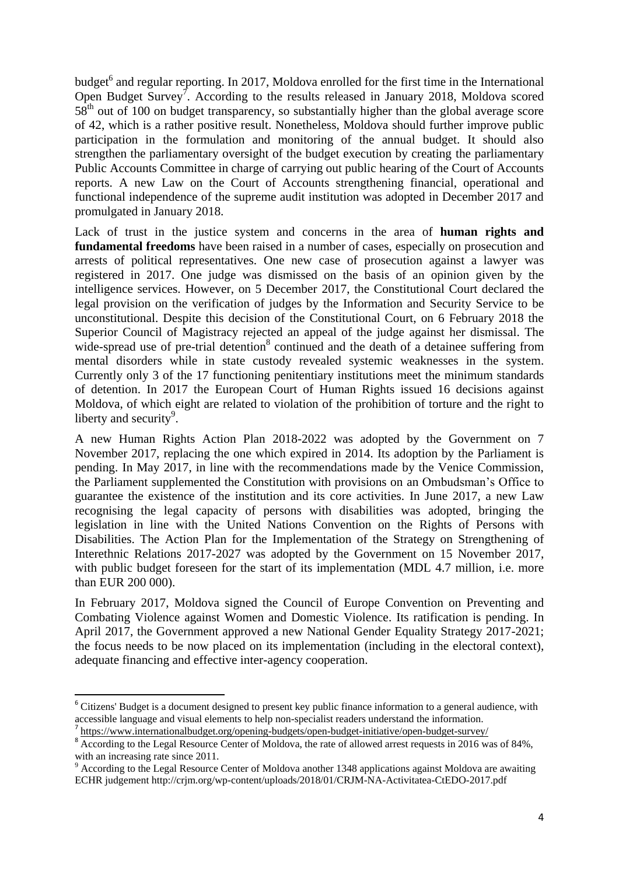budget<sup>6</sup> and regular reporting. In 2017, Moldova enrolled for the first time in the International Open Budget Survey<sup>7</sup>. According to the results released in January 2018, Moldova scored 58<sup>th</sup> out of 100 on budget transparency, so substantially higher than the global average score of 42, which is a rather positive result. Nonetheless, Moldova should further improve public participation in the formulation and monitoring of the annual budget. It should also strengthen the parliamentary oversight of the budget execution by creating the parliamentary Public Accounts Committee in charge of carrying out public hearing of the Court of Accounts reports. A new Law on the Court of Accounts strengthening financial, operational and functional independence of the supreme audit institution was adopted in December 2017 and promulgated in January 2018.

Lack of trust in the justice system and concerns in the area of **human rights and fundamental freedoms** have been raised in a number of cases, especially on prosecution and arrests of political representatives. One new case of prosecution against a lawyer was registered in 2017. One judge was dismissed on the basis of an opinion given by the intelligence services. However, on 5 December 2017, the Constitutional Court declared the legal provision on the verification of judges by the Information and Security Service to be unconstitutional. Despite this decision of the Constitutional Court, on 6 February 2018 the Superior Council of Magistracy rejected an appeal of the judge against her dismissal. The wide-spread use of pre-trial detention<sup>8</sup> continued and the death of a detainee suffering from mental disorders while in state custody revealed systemic weaknesses in the system. Currently only 3 of the 17 functioning penitentiary institutions meet the minimum standards of detention. In 2017 the European Court of Human Rights issued 16 decisions against Moldova, of which eight are related to violation of the prohibition of torture and the right to liberty and security<sup>9</sup>.

A new Human Rights Action Plan 2018-2022 was adopted by the Government on 7 November 2017, replacing the one which expired in 2014. Its adoption by the Parliament is pending. In May 2017, in line with the recommendations made by the Venice Commission, the Parliament supplemented the Constitution with provisions on an Ombudsman's Office to guarantee the existence of the institution and its core activities. In June 2017, a new Law recognising the legal capacity of persons with disabilities was adopted, bringing the legislation in line with the United Nations Convention on the Rights of Persons with Disabilities. The Action Plan for the Implementation of the Strategy on Strengthening of Interethnic Relations 2017-2027 was adopted by the Government on 15 November 2017, with public budget foreseen for the start of its implementation (MDL 4.7 million, i.e. more than EUR 200 000).

In February 2017, Moldova signed the Council of Europe Convention on Preventing and Combating Violence against Women and Domestic Violence. Its ratification is pending. In April 2017, the Government approved a new National Gender Equality Strategy 2017-2021; the focus needs to be now placed on its implementation (including in the electoral context), adequate financing and effective inter-agency cooperation.

1

 $6$  Citizens' Budget is a document designed to present key public finance information to a general audience, with accessible language and visual elements to help non-specialist readers understand the information.

<sup>&</sup>lt;sup>7</sup> <https://www.internationalbudget.org/opening-budgets/open-budget-initiative/open-budget-survey/>

<sup>&</sup>lt;sup>8</sup> According to the Legal Resource Center of Moldova, the rate of allowed arrest requests in 2016 was of 84%, with an increasing rate since 2011.

<sup>&</sup>lt;sup>9</sup> According to the Legal Resource Center of Moldova another 1348 applications against Moldova are awaiting ECHR judgement http://crjm.org/wp-content/uploads/2018/01/CRJM-NA-Activitatea-CtEDO-2017.pdf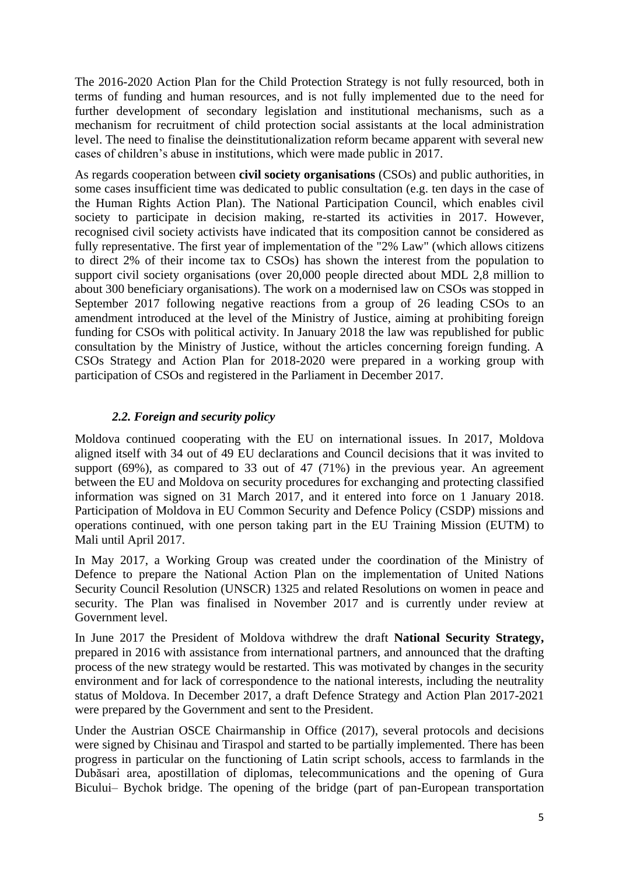The 2016-2020 Action Plan for the Child Protection Strategy is not fully resourced, both in terms of funding and human resources, and is not fully implemented due to the need for further development of secondary legislation and institutional mechanisms, such as a mechanism for recruitment of child protection social assistants at the local administration level. The need to finalise the deinstitutionalization reform became apparent with several new cases of children's abuse in institutions, which were made public in 2017.

As regards cooperation between **civil society organisations** (CSOs) and public authorities, in some cases insufficient time was dedicated to public consultation (e.g. ten days in the case of the Human Rights Action Plan). The National Participation Council, which enables civil society to participate in decision making, re-started its activities in 2017. However, recognised civil society activists have indicated that its composition cannot be considered as fully representative. The first year of implementation of the "2% Law" (which allows citizens to direct 2% of their income tax to CSOs) has shown the interest from the population to support civil society organisations (over 20,000 people directed about MDL 2,8 million to about 300 beneficiary organisations). The work on a modernised law on CSOs was stopped in September 2017 following negative reactions from a group of 26 leading CSOs to an amendment introduced at the level of the Ministry of Justice, aiming at prohibiting foreign funding for CSOs with political activity. In January 2018 the law was republished for public consultation by the Ministry of Justice, without the articles concerning foreign funding. A CSOs Strategy and Action Plan for 2018-2020 were prepared in a working group with participation of CSOs and registered in the Parliament in December 2017.

# *2.2. Foreign and security policy*

Moldova continued cooperating with the EU on international issues. In 2017, Moldova aligned itself with 34 out of 49 EU declarations and Council decisions that it was invited to support (69%), as compared to 33 out of 47 (71%) in the previous year. An agreement between the EU and Moldova on security procedures for exchanging and protecting classified information was signed on 31 March 2017, and it entered into force on 1 January 2018. Participation of Moldova in EU Common Security and Defence Policy (CSDP) missions and operations continued, with one person taking part in the EU Training Mission (EUTM) to Mali until April 2017.

In May 2017, a Working Group was created under the coordination of the Ministry of Defence to prepare the National Action Plan on the implementation of United Nations Security Council Resolution (UNSCR) 1325 and related Resolutions on women in peace and security. The Plan was finalised in November 2017 and is currently under review at Government level.

In June 2017 the President of Moldova withdrew the draft **National Security Strategy,** prepared in 2016 with assistance from international partners, and announced that the drafting process of the new strategy would be restarted. This was motivated by changes in the security environment and for lack of correspondence to the national interests, including the neutrality status of Moldova. In December 2017, a draft Defence Strategy and Action Plan 2017-2021 were prepared by the Government and sent to the President.

Under the Austrian OSCE Chairmanship in Office (2017), several protocols and decisions were signed by Chisinau and Tiraspol and started to be partially implemented. There has been progress in particular on the functioning of Latin script schools, access to farmlands in the Dubăsari area, apostillation of diplomas, telecommunications and the opening of Gura Bicului– Bychok bridge. The opening of the bridge (part of pan-European transportation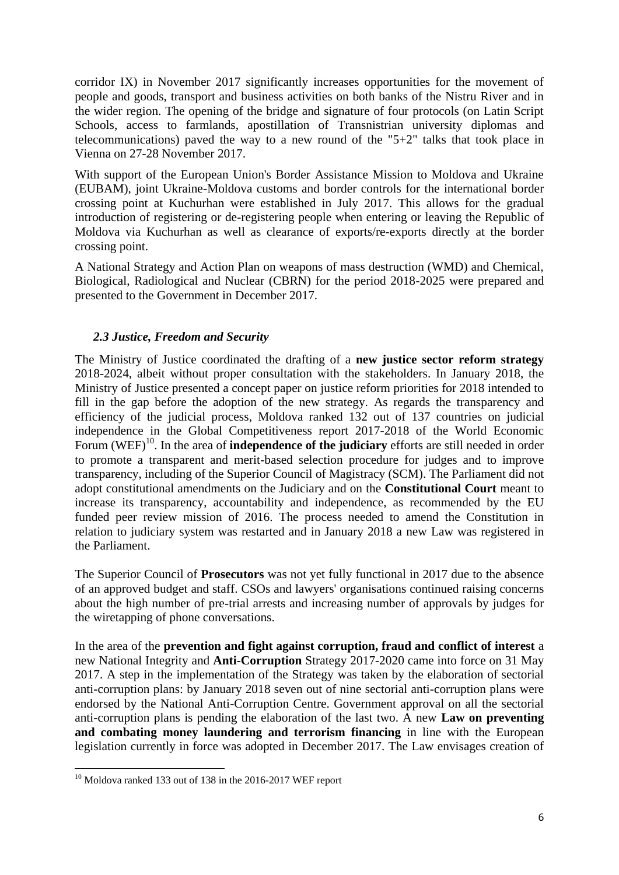corridor IX) in November 2017 significantly increases opportunities for the movement of people and goods, transport and business activities on both banks of the Nistru River and in the wider region. The opening of the bridge and signature of four protocols (on Latin Script Schools, access to farmlands, apostillation of Transnistrian university diplomas and telecommunications) paved the way to a new round of the "5+2" talks that took place in Vienna on 27-28 November 2017.

With support of the European Union's Border Assistance Mission to Moldova and Ukraine (EUBAM), joint Ukraine-Moldova customs and border controls for the international border crossing point at Kuchurhan were established in July 2017. This allows for the gradual introduction of registering or de-registering people when entering or leaving the Republic of Moldova via Kuchurhan as well as clearance of exports/re-exports directly at the border crossing point.

A National Strategy and Action Plan on weapons of mass destruction (WMD) and Chemical, Biological, Radiological and Nuclear (CBRN) for the period 2018-2025 were prepared and presented to the Government in December 2017.

#### *2.3 Justice, Freedom and Security*

The Ministry of Justice coordinated the drafting of a **new justice sector reform strategy** 2018-2024, albeit without proper consultation with the stakeholders. In January 2018, the Ministry of Justice presented a concept paper on justice reform priorities for 2018 intended to fill in the gap before the adoption of the new strategy. As regards the transparency and efficiency of the judicial process, Moldova ranked 132 out of 137 countries on judicial independence in the Global Competitiveness report 2017-2018 of the World Economic Forum (WEF)<sup>10</sup>. In the area of **independence of the judiciary** efforts are still needed in order to promote a transparent and merit-based selection procedure for judges and to improve transparency, including of the Superior Council of Magistracy (SCM). The Parliament did not adopt constitutional amendments on the Judiciary and on the **Constitutional Court** meant to increase its transparency, accountability and independence, as recommended by the EU funded peer review mission of 2016. The process needed to amend the Constitution in relation to judiciary system was restarted and in January 2018 a new Law was registered in the Parliament.

The Superior Council of **Prosecutors** was not yet fully functional in 2017 due to the absence of an approved budget and staff. CSOs and lawyers' organisations continued raising concerns about the high number of pre-trial arrests and increasing number of approvals by judges for the wiretapping of phone conversations.

In the area of the **prevention and fight against corruption, fraud and conflict of interest** a new National Integrity and **Anti-Corruption** Strategy 2017-2020 came into force on 31 May 2017. A step in the implementation of the Strategy was taken by the elaboration of sectorial anti-corruption plans: by January 2018 seven out of nine sectorial anti-corruption plans were endorsed by the National Anti-Corruption Centre. Government approval on all the sectorial anti-corruption plans is pending the elaboration of the last two. A new **Law on preventing and combating money laundering and terrorism financing** in line with the European legislation currently in force was adopted in December 2017. The Law envisages creation of

**.** 

 $10$  Moldova ranked 133 out of 138 in the 2016-2017 WEF report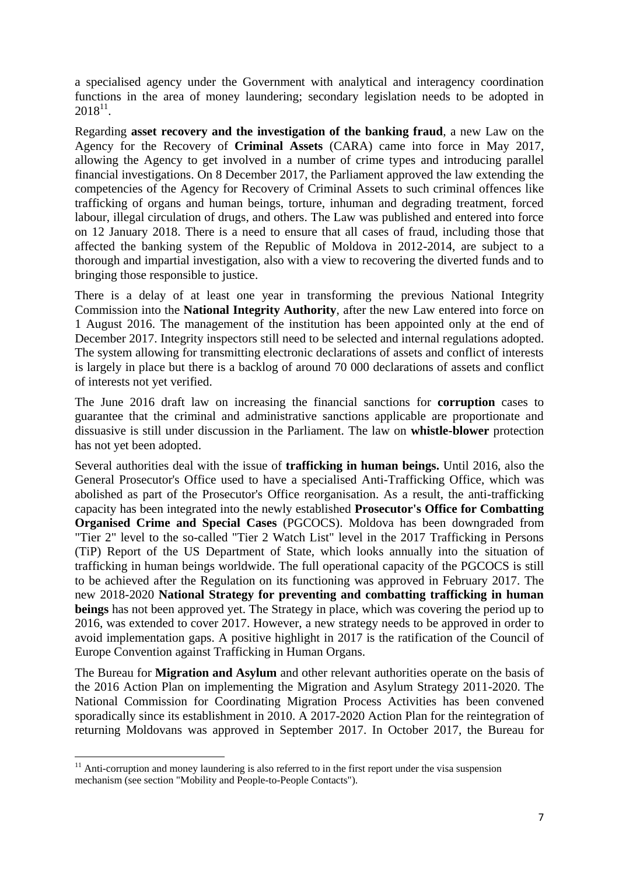a specialised agency under the Government with analytical and interagency coordination functions in the area of money laundering; secondary legislation needs to be adopted in  $2018^{11}$ .

Regarding **asset recovery and the investigation of the banking fraud**, a new Law on the Agency for the Recovery of **Criminal Assets** (CARA) came into force in May 2017, allowing the Agency to get involved in a number of crime types and introducing parallel financial investigations. On 8 December 2017, the Parliament approved the law extending the competencies of the Agency for Recovery of Criminal Assets to such criminal offences like trafficking of organs and human beings, torture, inhuman and degrading treatment, forced labour, illegal circulation of drugs, and others. The Law was published and entered into force on 12 January 2018. There is a need to ensure that all cases of fraud, including those that affected the banking system of the Republic of Moldova in 2012-2014, are subject to a thorough and impartial investigation, also with a view to recovering the diverted funds and to bringing those responsible to justice.

There is a delay of at least one year in transforming the previous National Integrity Commission into the **National Integrity Authority**, after the new Law entered into force on 1 August 2016. The management of the institution has been appointed only at the end of December 2017. Integrity inspectors still need to be selected and internal regulations adopted. The system allowing for transmitting electronic declarations of assets and conflict of interests is largely in place but there is a backlog of around 70 000 declarations of assets and conflict of interests not yet verified.

The June 2016 draft law on increasing the financial sanctions for **corruption** cases to guarantee that the criminal and administrative sanctions applicable are proportionate and dissuasive is still under discussion in the Parliament. The law on **whistle-blower** protection has not yet been adopted.

Several authorities deal with the issue of **trafficking in human beings.** Until 2016, also the General Prosecutor's Office used to have a specialised Anti-Trafficking Office, which was abolished as part of the Prosecutor's Office reorganisation. As a result, the anti-trafficking capacity has been integrated into the newly established **Prosecutor's Office for Combatting Organised Crime and Special Cases** (PGCOCS). Moldova has been downgraded from "Tier 2" level to the so-called "Tier 2 Watch List" level in the 2017 Trafficking in Persons (TiP) Report of the US Department of State, which looks annually into the situation of trafficking in human beings worldwide. The full operational capacity of the PGCOCS is still to be achieved after the Regulation on its functioning was approved in February 2017. The new 2018-2020 **National Strategy for preventing and combatting trafficking in human beings** has not been approved yet. The Strategy in place, which was covering the period up to 2016, was extended to cover 2017. However, a new strategy needs to be approved in order to avoid implementation gaps. A positive highlight in 2017 is the ratification of the Council of Europe Convention against Trafficking in Human Organs.

The Bureau for **Migration and Asylum** and other relevant authorities operate on the basis of the 2016 Action Plan on implementing the Migration and Asylum Strategy 2011-2020. The National Commission for Coordinating Migration Process Activities has been convened sporadically since its establishment in 2010. A 2017-2020 Action Plan for the reintegration of returning Moldovans was approved in September 2017. In October 2017, the Bureau for

 $\overline{a}$ 

 $11$  Anti-corruption and money laundering is also referred to in the first report under the visa suspension mechanism (see section "Mobility and People-to-People Contacts").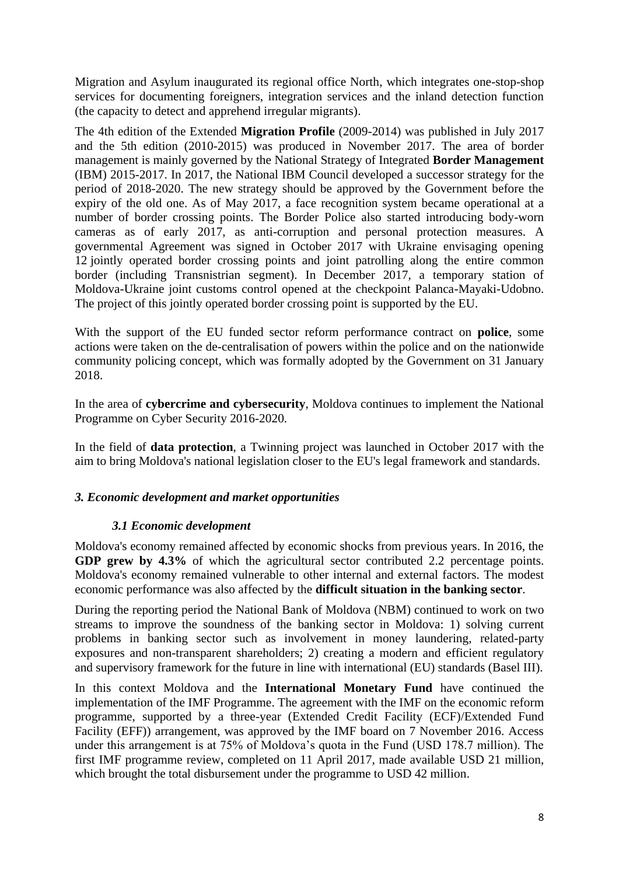Migration and Asylum inaugurated its regional office North, which integrates one-stop-shop services for documenting foreigners, integration services and the inland detection function (the capacity to detect and apprehend irregular migrants).

The 4th edition of the Extended **Migration Profile** (2009-2014) was published in July 2017 and the 5th edition (2010-2015) was produced in November 2017. The area of border management is mainly governed by the National Strategy of Integrated **Border Management** (IBM) 2015-2017. In 2017, the National IBM Council developed a successor strategy for the period of 2018-2020. The new strategy should be approved by the Government before the expiry of the old one. As of May 2017, a face recognition system became operational at a number of border crossing points. The Border Police also started introducing body-worn cameras as of early 2017, as anti-corruption and personal protection measures. A governmental Agreement was signed in October 2017 with Ukraine envisaging opening 12 jointly operated border crossing points and joint patrolling along the entire common border (including Transnistrian segment). In December 2017, a temporary station of Moldova-Ukraine joint customs control opened at the checkpoint Palanca-Mayaki-Udobno. The project of this jointly operated border crossing point is supported by the EU.

With the support of the EU funded sector reform performance contract on **police**, some actions were taken on the de-centralisation of powers within the police and on the nationwide community policing concept, which was formally adopted by the Government on 31 January 2018.

In the area of **cybercrime and cybersecurity**, Moldova continues to implement the National Programme on Cyber Security 2016-2020.

In the field of **data protection**, a Twinning project was launched in October 2017 with the aim to bring Moldova's national legislation closer to the EU's legal framework and standards.

# *3. Economic development and market opportunities*

# *3.1 Economic development*

Moldova's economy remained affected by economic shocks from previous years. In 2016, the **GDP grew by 4.3%** of which the agricultural sector contributed 2.2 percentage points. Moldova's economy remained vulnerable to other internal and external factors. The modest economic performance was also affected by the **difficult situation in the banking sector**.

During the reporting period the National Bank of Moldova (NBM) continued to work on two streams to improve the soundness of the banking sector in Moldova: 1) solving current problems in banking sector such as involvement in money laundering, related-party exposures and non-transparent shareholders; 2) creating a modern and efficient regulatory and supervisory framework for the future in line with international (EU) standards (Basel III).

In this context Moldova and the **International Monetary Fund** have continued the implementation of the IMF Programme. The agreement with the IMF on the economic reform programme, supported by a three-year (Extended Credit Facility (ECF)/Extended Fund Facility (EFF)) arrangement, was approved by the IMF board on 7 November 2016. Access under this arrangement is at 75% of Moldova's quota in the Fund (USD 178.7 million). The first IMF programme review, completed on 11 April 2017, made available USD 21 million, which brought the total disbursement under the programme to USD 42 million.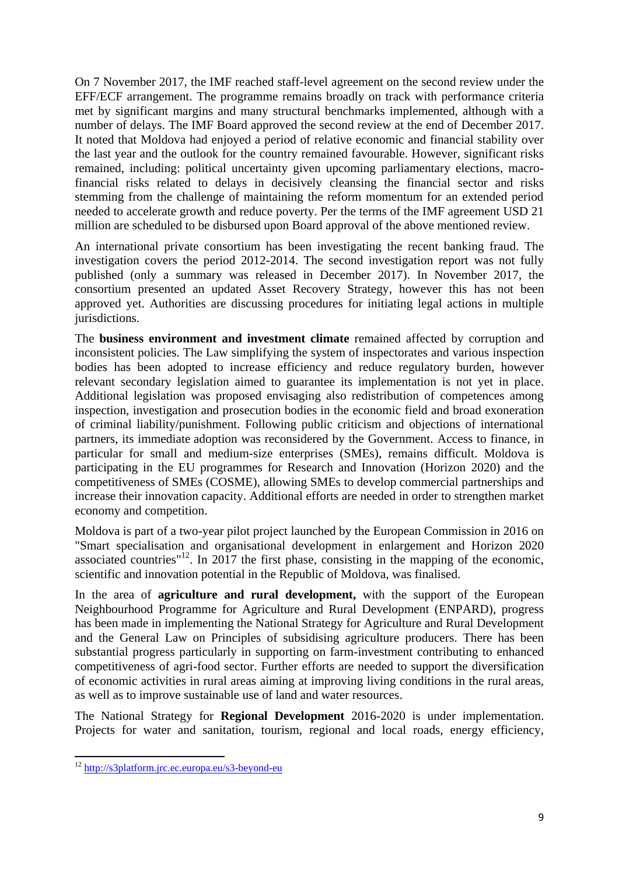On 7 November 2017, the IMF reached staff-level agreement on the second review under the EFF/ECF arrangement. The programme remains broadly on track with performance criteria met by significant margins and many structural benchmarks implemented, although with a number of delays. The IMF Board approved the second review at the end of December 2017. It noted that Moldova had enjoyed a period of relative economic and financial stability over the last year and the outlook for the country remained favourable. However, significant risks remained, including: political uncertainty given upcoming parliamentary elections, macrofinancial risks related to delays in decisively cleansing the financial sector and risks stemming from the challenge of maintaining the reform momentum for an extended period needed to accelerate growth and reduce poverty. Per the terms of the IMF agreement USD 21 million are scheduled to be disbursed upon Board approval of the above mentioned review.

An international private consortium has been investigating the recent banking fraud. The investigation covers the period 2012-2014. The second investigation report was not fully published (only a summary was released in December 2017). In November 2017, the consortium presented an updated Asset Recovery Strategy, however this has not been approved yet. Authorities are discussing procedures for initiating legal actions in multiple jurisdictions.

The **business environment and investment climate** remained affected by corruption and inconsistent policies. The Law simplifying the system of inspectorates and various inspection bodies has been adopted to increase efficiency and reduce regulatory burden, however relevant secondary legislation aimed to guarantee its implementation is not yet in place. Additional legislation was proposed envisaging also redistribution of competences among inspection, investigation and prosecution bodies in the economic field and broad exoneration of criminal liability/punishment. Following public criticism and objections of international partners, its immediate adoption was reconsidered by the Government. Access to finance, in particular for small and medium-size enterprises (SMEs), remains difficult. Moldova is participating in the EU programmes for Research and Innovation (Horizon 2020) and the competitiveness of SMEs (COSME), allowing SMEs to develop commercial partnerships and increase their innovation capacity. Additional efforts are needed in order to strengthen market economy and competition.

Moldova is part of a two-year pilot project launched by the European Commission in 2016 on "Smart specialisation and organisational development in enlargement and Horizon 2020 associated countries"<sup>12</sup>. In 2017 the first phase, consisting in the mapping of the economic, scientific and innovation potential in the Republic of Moldova, was finalised.

In the area of **agriculture and rural development,** with the support of the European Neighbourhood Programme for Agriculture and Rural Development (ENPARD), progress has been made in implementing the National Strategy for Agriculture and Rural Development and the General Law on Principles of subsidising agriculture producers. There has been substantial progress particularly in supporting on farm-investment contributing to enhanced competitiveness of agri-food sector. Further efforts are needed to support the diversification of economic activities in rural areas aiming at improving living conditions in the rural areas, as well as to improve sustainable use of land and water resources.

The National Strategy for **Regional Development** 2016-2020 is under implementation. Projects for water and sanitation, tourism, regional and local roads, energy efficiency,

**.** 

<sup>&</sup>lt;sup>12</sup> <http://s3platform.jrc.ec.europa.eu/s3-beyond-eu>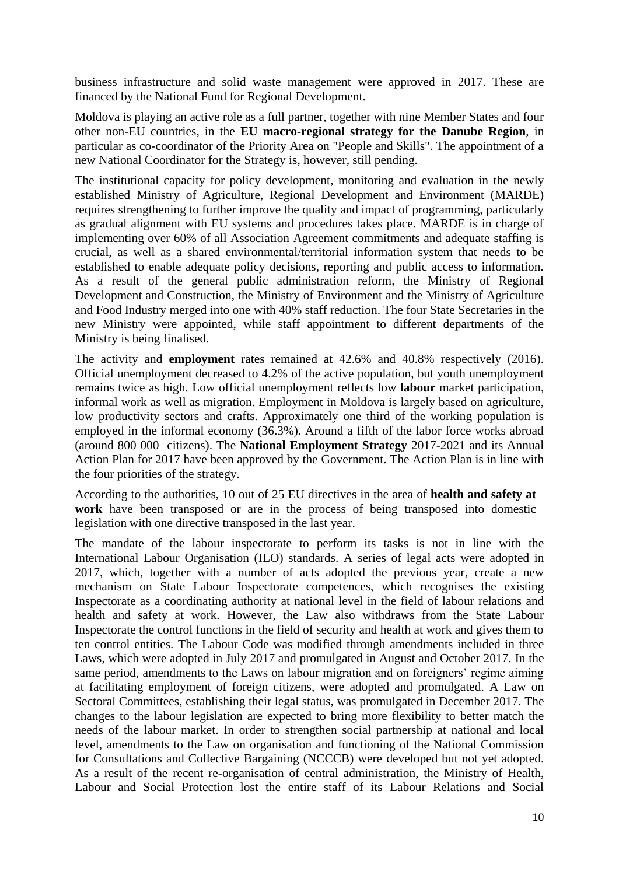business infrastructure and solid waste management were approved in 2017. These are financed by the National Fund for Regional Development.

Moldova is playing an active role as a full partner, together with nine Member States and four other non-EU countries, in the **EU macro-regional strategy for the Danube Region**, in particular as co-coordinator of the Priority Area on "People and Skills". The appointment of a new National Coordinator for the Strategy is, however, still pending.

The institutional capacity for policy development, monitoring and evaluation in the newly established Ministry of Agriculture, Regional Development and Environment (MARDE) requires strengthening to further improve the quality and impact of programming, particularly as gradual alignment with EU systems and procedures takes place. MARDE is in charge of implementing over 60% of all Association Agreement commitments and adequate staffing is crucial, as well as a shared environmental/territorial information system that needs to be established to enable adequate policy decisions, reporting and public access to information. As a result of the general public administration reform, the Ministry of Regional Development and Construction, the Ministry of Environment and the Ministry of Agriculture and Food Industry merged into one with 40% staff reduction. The four State Secretaries in the new Ministry were appointed, while staff appointment to different departments of the Ministry is being finalised.

The activity and **employment** rates remained at 42.6% and 40.8% respectively (2016). Official unemployment decreased to 4.2% of the active population, but youth unemployment remains twice as high. Low official unemployment reflects low **labour** market participation, informal work as well as migration. Employment in Moldova is largely based on agriculture, low productivity sectors and crafts. Approximately one third of the working population is employed in the informal economy (36.3%). Around a fifth of the labor force works abroad (around 800 000 citizens). The **National Employment Strategy** 2017-2021 and its Annual Action Plan for 2017 have been approved by the Government. The Action Plan is in line with the four priorities of the strategy.

According to the authorities, 10 out of 25 EU directives in the area of **health and safety at work** have been transposed or are in the process of being transposed into domestic legislation with one directive transposed in the last year.

The mandate of the labour inspectorate to perform its tasks is not in line with the International Labour Organisation (ILO) standards. A series of legal acts were adopted in 2017, which, together with a number of acts adopted the previous year, create a new mechanism on State Labour Inspectorate competences, which recognises the existing Inspectorate as a coordinating authority at national level in the field of labour relations and health and safety at work. However, the Law also withdraws from the State Labour Inspectorate the control functions in the field of security and health at work and gives them to ten control entities. The Labour Code was modified through amendments included in three Laws, which were adopted in July 2017 and promulgated in August and October 2017. In the same period, amendments to the Laws on labour migration and on foreigners' regime aiming at facilitating employment of foreign citizens, were adopted and promulgated. A Law on Sectoral Committees, establishing their legal status, was promulgated in December 2017. The changes to the labour legislation are expected to bring more flexibility to better match the needs of the labour market. In order to strengthen social partnership at national and local level, amendments to the Law on organisation and functioning of the National Commission for Consultations and Collective Bargaining (NCCCB) were developed but not yet adopted. As a result of the recent re-organisation of central administration, the Ministry of Health, Labour and Social Protection lost the entire staff of its Labour Relations and Social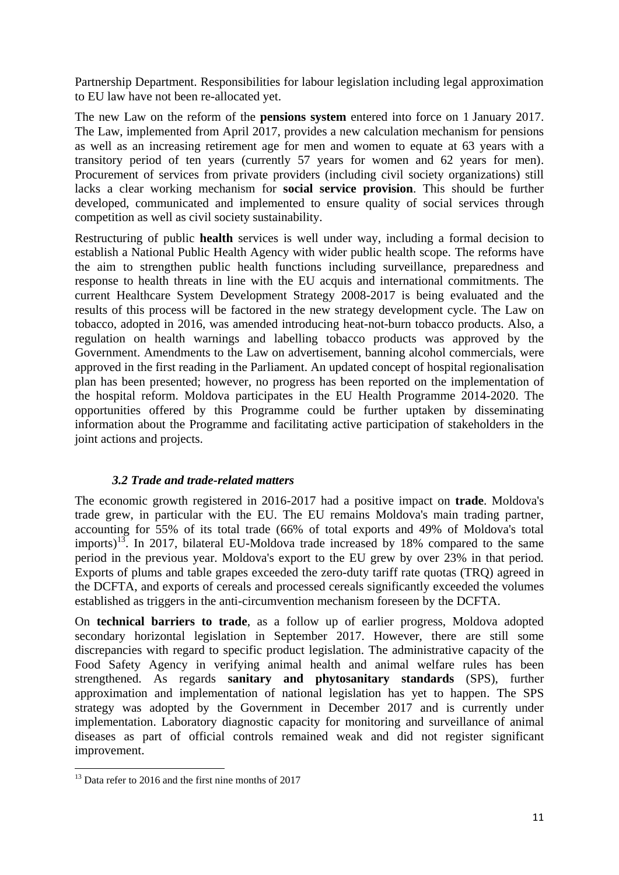Partnership Department. Responsibilities for labour legislation including legal approximation to EU law have not been re-allocated yet.

The new Law on the reform of the **pensions system** entered into force on 1 January 2017. The Law, implemented from April 2017, provides a new calculation mechanism for pensions as well as an increasing retirement age for men and women to equate at 63 years with a transitory period of ten years (currently 57 years for women and 62 years for men). Procurement of services from private providers (including civil society organizations) still lacks a clear working mechanism for **social service provision**. This should be further developed, communicated and implemented to ensure quality of social services through competition as well as civil society sustainability.

Restructuring of public **health** services is well under way, including a formal decision to establish a National Public Health Agency with wider public health scope. The reforms have the aim to strengthen public health functions including surveillance, preparedness and response to health threats in line with the EU acquis and international commitments. The current Healthcare System Development Strategy 2008-2017 is being evaluated and the results of this process will be factored in the new strategy development cycle. The Law on tobacco, adopted in 2016, was amended introducing heat-not-burn tobacco products. Also, a regulation on health warnings and labelling tobacco products was approved by the Government. Amendments to the Law on advertisement, banning alcohol commercials, were approved in the first reading in the Parliament. An updated concept of hospital regionalisation plan has been presented; however, no progress has been reported on the implementation of the hospital reform. Moldova participates in the EU Health Programme 2014-2020. The opportunities offered by this Programme could be further uptaken by disseminating information about the Programme and facilitating active participation of stakeholders in the joint actions and projects.

#### *3.2 Trade and trade-related matters*

The economic growth registered in 2016-2017 had a positive impact on **trade**. Moldova's trade grew, in particular with the EU. The EU remains Moldova's main trading partner, accounting for 55% of its total trade (66% of total exports and 49% of Moldova's total imports)<sup>13</sup>. In 2017, bilateral EU-Moldova trade increased by 18% compared to the same period in the previous year. Moldova's export to the EU grew by over 23% in that period*.* Exports of plums and table grapes exceeded the zero-duty tariff rate quotas (TRQ) agreed in the DCFTA, and exports of cereals and processed cereals significantly exceeded the volumes established as triggers in the anti-circumvention mechanism foreseen by the DCFTA.

On **technical barriers to trade**, as a follow up of earlier progress, Moldova adopted secondary horizontal legislation in September 2017. However, there are still some discrepancies with regard to specific product legislation. The administrative capacity of the Food Safety Agency in verifying animal health and animal welfare rules has been strengthened. As regards **sanitary and phytosanitary standards** (SPS), further approximation and implementation of national legislation has yet to happen. The SPS strategy was adopted by the Government in December 2017 and is currently under implementation. Laboratory diagnostic capacity for monitoring and surveillance of animal diseases as part of official controls remained weak and did not register significant improvement.

**.** 

 $13$  Data refer to 2016 and the first nine months of 2017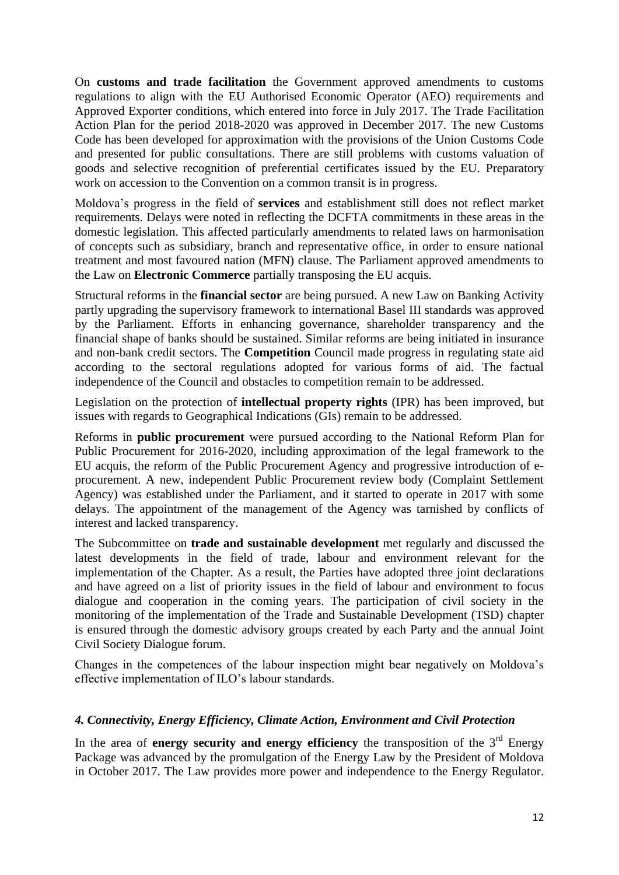On **customs and trade facilitation** the Government approved amendments to customs regulations to align with the EU Authorised Economic Operator (AEO) requirements and Approved Exporter conditions, which entered into force in July 2017. The Trade Facilitation Action Plan for the period 2018-2020 was approved in December 2017. The new Customs Code has been developed for approximation with the provisions of the Union Customs Code and presented for public consultations. There are still problems with customs valuation of goods and selective recognition of preferential certificates issued by the EU. Preparatory work on accession to the Convention on a common transit is in progress.

Moldova's progress in the field of **services** and establishment still does not reflect market requirements. Delays were noted in reflecting the DCFTA commitments in these areas in the domestic legislation. This affected particularly amendments to related laws on harmonisation of concepts such as subsidiary, branch and representative office, in order to ensure national treatment and most favoured nation (MFN) clause. The Parliament approved amendments to the Law on **Electronic Commerce** partially transposing the EU acquis.

Structural reforms in the **financial sector** are being pursued. A new Law on Banking Activity partly upgrading the supervisory framework to international Basel III standards was approved by the Parliament. Efforts in enhancing governance, shareholder transparency and the financial shape of banks should be sustained. Similar reforms are being initiated in insurance and non-bank credit sectors. The **Competition** Council made progress in regulating state aid according to the sectoral regulations adopted for various forms of aid. The factual independence of the Council and obstacles to competition remain to be addressed.

Legislation on the protection of **intellectual property rights** (IPR) has been improved, but issues with regards to Geographical Indications (GIs) remain to be addressed.

Reforms in **public procurement** were pursued according to the National Reform Plan for Public Procurement for 2016-2020, including approximation of the legal framework to the EU acquis, the reform of the Public Procurement Agency and progressive introduction of eprocurement. A new, independent Public Procurement review body (Complaint Settlement Agency) was established under the Parliament, and it started to operate in 2017 with some delays. The appointment of the management of the Agency was tarnished by conflicts of interest and lacked transparency.

The Subcommittee on **trade and sustainable development** met regularly and discussed the latest developments in the field of trade, labour and environment relevant for the implementation of the Chapter. As a result, the Parties have adopted three joint declarations and have agreed on a list of priority issues in the field of labour and environment to focus dialogue and cooperation in the coming years. The participation of civil society in the monitoring of the implementation of the Trade and Sustainable Development (TSD) chapter is ensured through the domestic advisory groups created by each Party and the annual Joint Civil Society Dialogue forum.

Changes in the competences of the labour inspection might bear negatively on Moldova's effective implementation of ILO's labour standards.

#### *4. Connectivity, Energy Efficiency, Climate Action, Environment and Civil Protection*

In the area of **energy security and energy efficiency** the transposition of the 3<sup>rd</sup> Energy Package was advanced by the promulgation of the Energy Law by the President of Moldova in October 2017. The Law provides more power and independence to the Energy Regulator.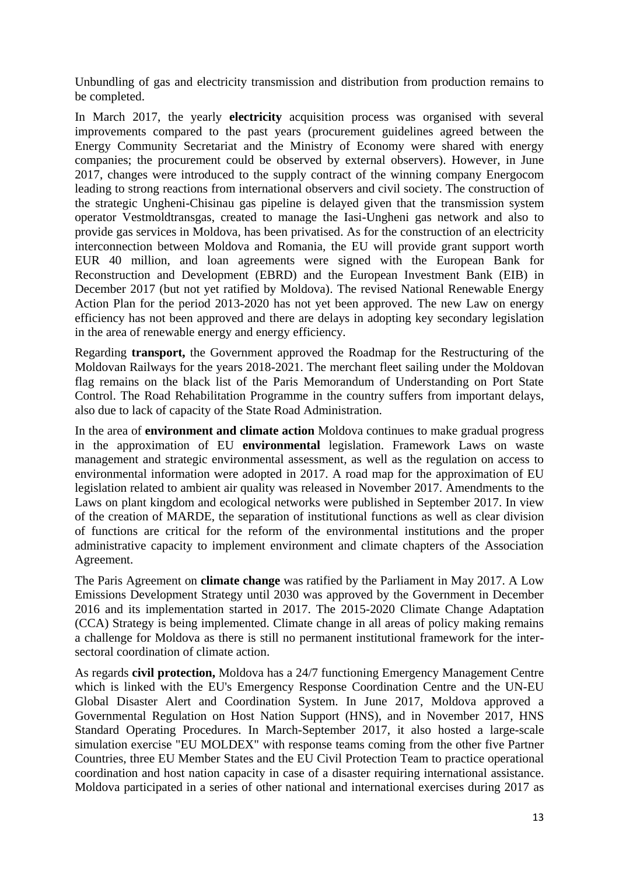Unbundling of gas and electricity transmission and distribution from production remains to be completed.

In March 2017, the yearly **electricity** acquisition process was organised with several improvements compared to the past years (procurement guidelines agreed between the Energy Community Secretariat and the Ministry of Economy were shared with energy companies; the procurement could be observed by external observers). However, in June 2017, changes were introduced to the supply contract of the winning company Energocom leading to strong reactions from international observers and civil society. The construction of the strategic Ungheni-Chisinau gas pipeline is delayed given that the transmission system operator Vestmoldtransgas, created to manage the Iasi-Ungheni gas network and also to provide gas services in Moldova, has been privatised. As for the construction of an electricity interconnection between Moldova and Romania, the EU will provide grant support worth EUR 40 million, and loan agreements were signed with the European Bank for Reconstruction and Development (EBRD) and the European Investment Bank (EIB) in December 2017 (but not yet ratified by Moldova). The revised National Renewable Energy Action Plan for the period 2013-2020 has not yet been approved. The new Law on energy efficiency has not been approved and there are delays in adopting key secondary legislation in the area of renewable energy and energy efficiency*.*

Regarding **transport,** the Government approved the Roadmap for the Restructuring of the Moldovan Railways for the years 2018-2021. The merchant fleet sailing under the Moldovan flag remains on the black list of the Paris Memorandum of Understanding on Port State Control. The Road Rehabilitation Programme in the country suffers from important delays, also due to lack of capacity of the State Road Administration.

In the area of **environment and climate action** Moldova continues to make gradual progress in the approximation of EU **environmental** legislation. Framework Laws on waste management and strategic environmental assessment, as well as the regulation on access to environmental information were adopted in 2017. A road map for the approximation of EU legislation related to ambient air quality was released in November 2017. Amendments to the Laws on plant kingdom and ecological networks were published in September 2017. In view of the creation of MARDE, the separation of institutional functions as well as clear division of functions are critical for the reform of the environmental institutions and the proper administrative capacity to implement environment and climate chapters of the Association Agreement.

The Paris Agreement on **climate change** was ratified by the Parliament in May 2017. A Low Emissions Development Strategy until 2030 was approved by the Government in December 2016 and its implementation started in 2017. The 2015-2020 Climate Change Adaptation (CCA) Strategy is being implemented. Climate change in all areas of policy making remains a challenge for Moldova as there is still no permanent institutional framework for the intersectoral coordination of climate action.

As regards **civil protection,** Moldova has a 24/7 functioning Emergency Management Centre which is linked with the EU's Emergency Response Coordination Centre and the UN-EU Global Disaster Alert and Coordination System. In June 2017, Moldova approved a Governmental Regulation on Host Nation Support (HNS), and in November 2017, HNS Standard Operating Procedures. In March-September 2017, it also hosted a large-scale simulation exercise "EU MOLDEX" with response teams coming from the other five Partner Countries, three EU Member States and the EU Civil Protection Team to practice operational coordination and host nation capacity in case of a disaster requiring international assistance. Moldova participated in a series of other national and international exercises during 2017 as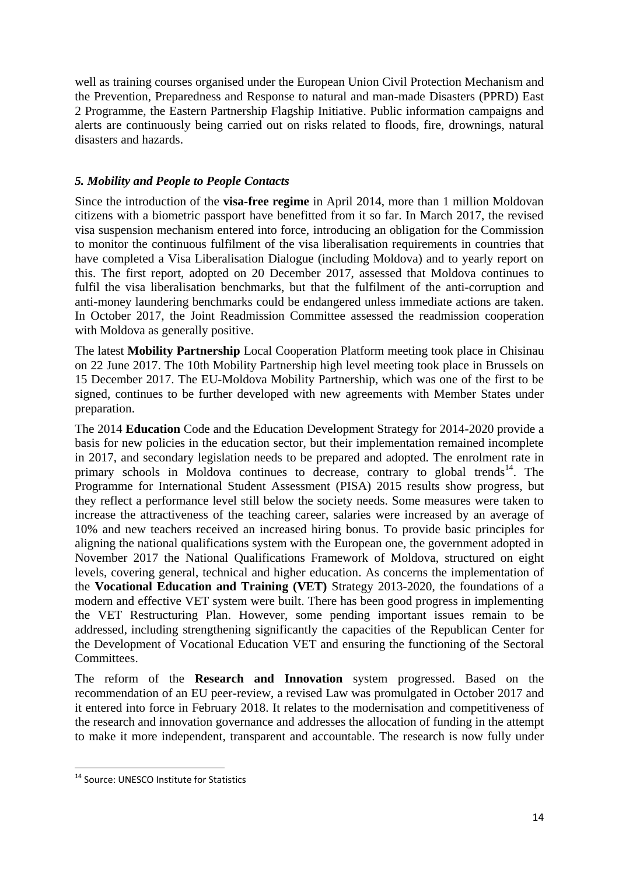well as training courses organised under the European Union Civil Protection Mechanism and the Prevention, Preparedness and Response to natural and man-made Disasters (PPRD) East 2 Programme, the Eastern Partnership Flagship Initiative. Public information campaigns and alerts are continuously being carried out on risks related to floods, fire, drownings, natural disasters and hazards.

# *5. Mobility and People to People Contacts*

Since the introduction of the **visa-free regime** in April 2014, more than 1 million Moldovan citizens with a biometric passport have benefitted from it so far. In March 2017, the revised visa suspension mechanism entered into force, introducing an obligation for the Commission to monitor the continuous fulfilment of the visa liberalisation requirements in countries that have completed a Visa Liberalisation Dialogue (including Moldova) and to yearly report on this. The first report, adopted on 20 December 2017, assessed that Moldova continues to fulfil the visa liberalisation benchmarks, but that the fulfilment of the anti-corruption and anti-money laundering benchmarks could be endangered unless immediate actions are taken. In October 2017, the Joint Readmission Committee assessed the readmission cooperation with Moldova as generally positive.

The latest **Mobility Partnership** Local Cooperation Platform meeting took place in Chisinau on 22 June 2017. The 10th Mobility Partnership high level meeting took place in Brussels on 15 December 2017. The EU-Moldova Mobility Partnership, which was one of the first to be signed, continues to be further developed with new agreements with Member States under preparation.

The 2014 **Education** Code and the Education Development Strategy for 2014-2020 provide a basis for new policies in the education sector, but their implementation remained incomplete in 2017, and secondary legislation needs to be prepared and adopted. The enrolment rate in primary schools in Moldova continues to decrease, contrary to global trends<sup>14</sup>. The Programme for International Student Assessment (PISA) 2015 results show progress, but they reflect a performance level still below the society needs. Some measures were taken to increase the attractiveness of the teaching career, salaries were increased by an average of 10% and new teachers received an increased hiring bonus. To provide basic principles for aligning the national qualifications system with the European one, the government adopted in November 2017 the National Qualifications Framework of Moldova, structured on eight levels, covering general, technical and higher education. As concerns the implementation of the **Vocational Education and Training (VET)** Strategy 2013-2020, the foundations of a modern and effective VET system were built. There has been good progress in implementing the VET Restructuring Plan. However, some pending important issues remain to be addressed, including strengthening significantly the capacities of the Republican Center for the Development of Vocational Education VET and ensuring the functioning of the Sectoral Committees.

The reform of the **Research and Innovation** system progressed. Based on the recommendation of an EU peer-review, a revised Law was promulgated in October 2017 and it entered into force in February 2018. It relates to the modernisation and competitiveness of the research and innovation governance and addresses the allocation of funding in the attempt to make it more independent, transparent and accountable. The research is now fully under

<sup>1</sup> <sup>14</sup> Source: UNESCO Institute for Statistics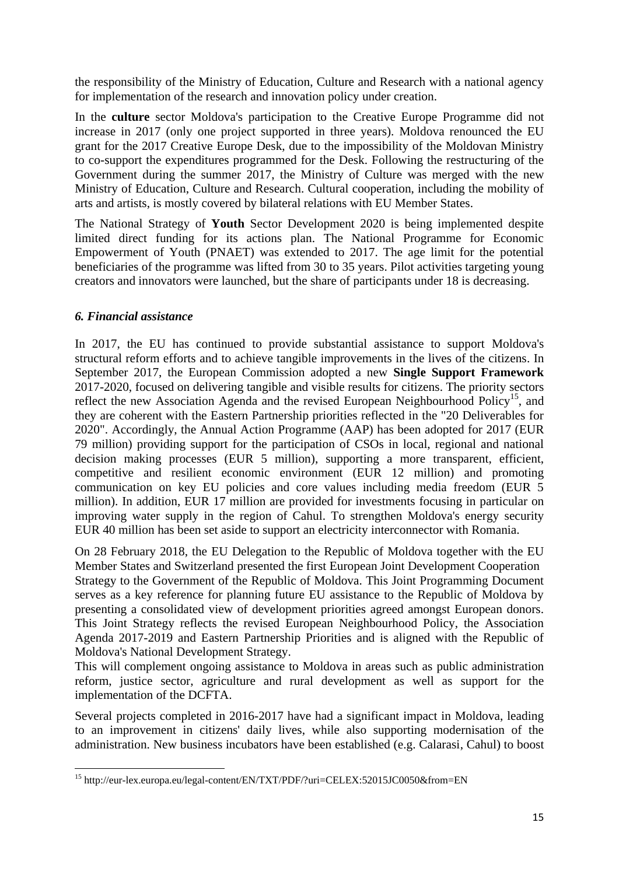the responsibility of the Ministry of Education, Culture and Research with a national agency for implementation of the research and innovation policy under creation.

In the **culture** sector Moldova's participation to the Creative Europe Programme did not increase in 2017 (only one project supported in three years). Moldova renounced the EU grant for the 2017 Creative Europe Desk, due to the impossibility of the Moldovan Ministry to co-support the expenditures programmed for the Desk. Following the restructuring of the Government during the summer 2017, the Ministry of Culture was merged with the new Ministry of Education, Culture and Research. Cultural cooperation, including the mobility of arts and artists, is mostly covered by bilateral relations with EU Member States.

The National Strategy of **Youth** Sector Development 2020 is being implemented despite limited direct funding for its actions plan. The National Programme for Economic Empowerment of Youth (PNAET) was extended to 2017. The age limit for the potential beneficiaries of the programme was lifted from 30 to 35 years. Pilot activities targeting young creators and innovators were launched, but the share of participants under 18 is decreasing.

# *6. Financial assistance*

In 2017, the EU has continued to provide substantial assistance to support Moldova's structural reform efforts and to achieve tangible improvements in the lives of the citizens. In September 2017, the European Commission adopted a new **Single Support Framework** 2017-2020, focused on delivering tangible and visible results for citizens. The priority sectors reflect the new Association Agenda and the revised European Neighbourhood Policy<sup>15</sup>, and they are coherent with the Eastern Partnership priorities reflected in the "20 Deliverables for 2020". Accordingly, the Annual Action Programme (AAP) has been adopted for 2017 (EUR 79 million) providing support for the participation of CSOs in local, regional and national decision making processes (EUR 5 million), supporting a more transparent, efficient, competitive and resilient economic environment (EUR 12 million) and promoting communication on key EU policies and core values including media freedom (EUR 5 million). In addition, EUR 17 million are provided for investments focusing in particular on improving water supply in the region of Cahul. To strengthen Moldova's energy security EUR 40 million has been set aside to support an electricity interconnector with Romania.

On 28 February 2018, the EU Delegation to the Republic of Moldova together with the EU Member States and Switzerland presented the first European Joint Development Cooperation Strategy to the Government of the Republic of Moldova. This Joint Programming Document serves as a key reference for planning future EU assistance to the Republic of Moldova by presenting a consolidated view of development priorities agreed amongst European donors. This Joint Strategy reflects the revised European Neighbourhood Policy, the Association Agenda 2017-2019 and Eastern Partnership Priorities and is aligned with the Republic of Moldova's National Development Strategy.

This will complement ongoing assistance to Moldova in areas such as public administration reform, justice sector, agriculture and rural development as well as support for the implementation of the DCFTA.

Several projects completed in 2016-2017 have had a significant impact in Moldova, leading to an improvement in citizens' daily lives, while also supporting modernisation of the administration. New business incubators have been established (e.g. Calarasi, Cahul) to boost

**<sup>.</sup>** <sup>15</sup> http://eur-lex.europa.eu/legal-content/EN/TXT/PDF/?uri=CELEX:52015JC0050&from=EN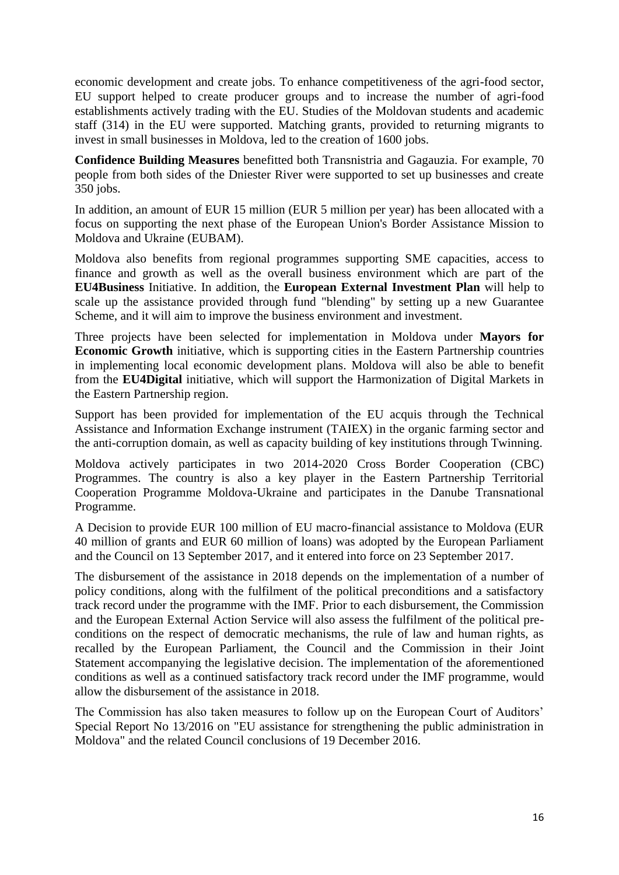economic development and create jobs. To enhance competitiveness of the agri-food sector, EU support helped to create producer groups and to increase the number of agri-food establishments actively trading with the EU. Studies of the Moldovan students and academic staff (314) in the EU were supported. Matching grants, provided to returning migrants to invest in small businesses in Moldova, led to the creation of 1600 jobs.

**Confidence Building Measures** benefitted both Transnistria and Gagauzia. For example, 70 people from both sides of the Dniester River were supported to set up businesses and create 350 jobs.

In addition, an amount of EUR 15 million (EUR 5 million per year) has been allocated with a focus on supporting the next phase of the European Union's Border Assistance Mission to Moldova and Ukraine (EUBAM).

Moldova also benefits from regional programmes supporting SME capacities, access to finance and growth as well as the overall business environment which are part of the **EU4Business** Initiative. In addition, the **European External Investment Plan** will help to scale up the assistance provided through fund "blending" by setting up a new Guarantee Scheme, and it will aim to improve the business environment and investment.

Three projects have been selected for implementation in Moldova under **Mayors for Economic Growth** initiative, which is supporting cities in the Eastern Partnership countries in implementing local economic development plans. Moldova will also be able to benefit from the **EU4Digital** initiative, which will support the Harmonization of Digital Markets in the Eastern Partnership region.

Support has been provided for implementation of the EU acquis through the Technical Assistance and Information Exchange instrument (TAIEX) in the organic farming sector and the anti-corruption domain, as well as capacity building of key institutions through Twinning.

Moldova actively participates in two 2014-2020 Cross Border Cooperation (CBC) Programmes. The country is also a key player in the Eastern Partnership Territorial Cooperation Programme Moldova-Ukraine and participates in the Danube Transnational Programme.

A Decision to provide EUR 100 million of EU macro-financial assistance to Moldova (EUR 40 million of grants and EUR 60 million of loans) was adopted by the European Parliament and the Council on 13 September 2017, and it entered into force on 23 September 2017.

The disbursement of the assistance in 2018 depends on the implementation of a number of policy conditions, along with the fulfilment of the political preconditions and a satisfactory track record under the programme with the IMF. Prior to each disbursement, the Commission and the European External Action Service will also assess the fulfilment of the political preconditions on the respect of democratic mechanisms, the rule of law and human rights, as recalled by the European Parliament, the Council and the Commission in their Joint Statement accompanying the legislative decision. The implementation of the aforementioned conditions as well as a continued satisfactory track record under the IMF programme, would allow the disbursement of the assistance in 2018.

The Commission has also taken measures to follow up on the European Court of Auditors' Special Report No 13/2016 on "EU assistance for strengthening the public administration in Moldova" and the related Council conclusions of 19 December 2016.